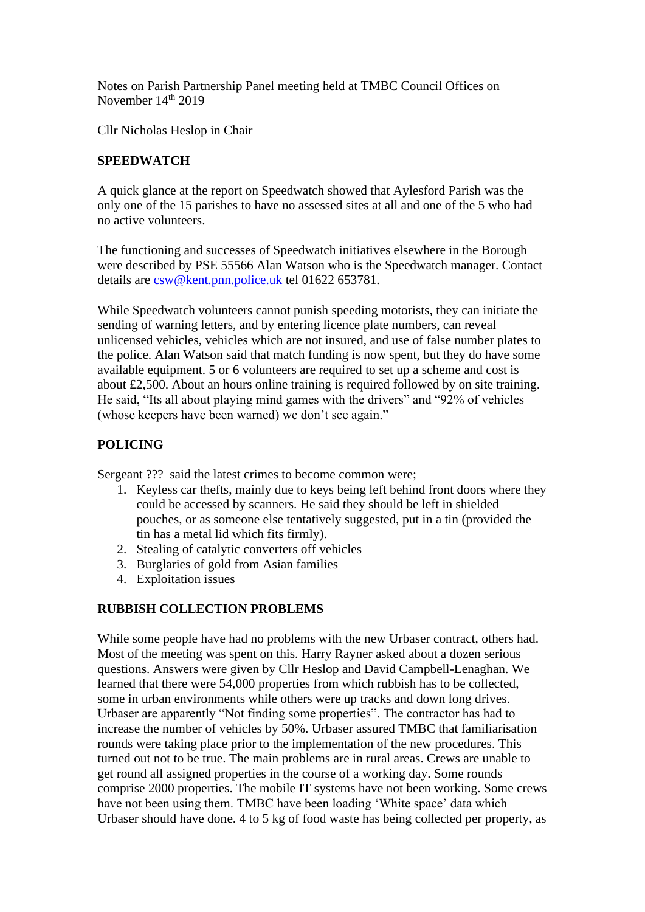Notes on Parish Partnership Panel meeting held at TMBC Council Offices on November 14<sup>th</sup> 2019

Cllr Nicholas Heslop in Chair

## **SPEEDWATCH**

A quick glance at the report on Speedwatch showed that Aylesford Parish was the only one of the 15 parishes to have no assessed sites at all and one of the 5 who had no active volunteers.

The functioning and successes of Speedwatch initiatives elsewhere in the Borough were described by PSE 55566 Alan Watson who is the Speedwatch manager. Contact details are [csw@kent.pnn.police.uk](mailto:csw@kent.pnn.police.uk) tel 01622 653781.

While Speedwatch volunteers cannot punish speeding motorists, they can initiate the sending of warning letters, and by entering licence plate numbers, can reveal unlicensed vehicles, vehicles which are not insured, and use of false number plates to the police. Alan Watson said that match funding is now spent, but they do have some available equipment. 5 or 6 volunteers are required to set up a scheme and cost is about £2,500. About an hours online training is required followed by on site training. He said, "Its all about playing mind games with the drivers" and "92% of vehicles (whose keepers have been warned) we don't see again."

## **POLICING**

Sergeant ??? said the latest crimes to become common were;

- 1. Keyless car thefts, mainly due to keys being left behind front doors where they could be accessed by scanners. He said they should be left in shielded pouches, or as someone else tentatively suggested, put in a tin (provided the tin has a metal lid which fits firmly).
- 2. Stealing of catalytic converters off vehicles
- 3. Burglaries of gold from Asian families
- 4. Exploitation issues

## **RUBBISH COLLECTION PROBLEMS**

While some people have had no problems with the new Urbaser contract, others had. Most of the meeting was spent on this. Harry Rayner asked about a dozen serious questions. Answers were given by Cllr Heslop and David Campbell-Lenaghan. We learned that there were 54,000 properties from which rubbish has to be collected, some in urban environments while others were up tracks and down long drives. Urbaser are apparently "Not finding some properties". The contractor has had to increase the number of vehicles by 50%. Urbaser assured TMBC that familiarisation rounds were taking place prior to the implementation of the new procedures. This turned out not to be true. The main problems are in rural areas. Crews are unable to get round all assigned properties in the course of a working day. Some rounds comprise 2000 properties. The mobile IT systems have not been working. Some crews have not been using them. TMBC have been loading 'White space' data which Urbaser should have done. 4 to 5 kg of food waste has being collected per property, as